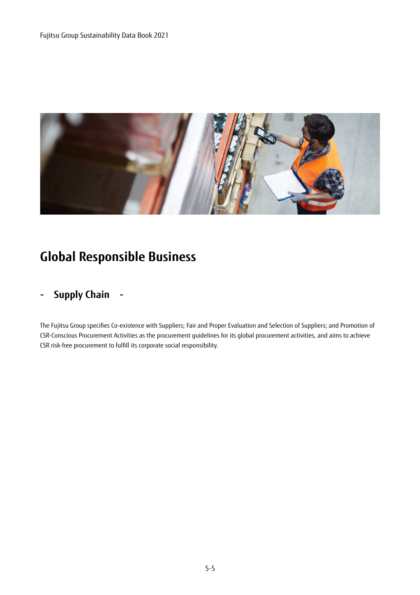

# **Global Responsible Business**

# **- Supply Chain -**

The Fujitsu Group specifies Co-existence with Suppliers; Fair and Proper Evaluation and Selection of Suppliers; and Promotion of CSR-Conscious Procurement Activities as the procurement guidelines for its global procurement activities, and aims to achieve CSR risk-free procurement to fulfill its corporate social responsibility.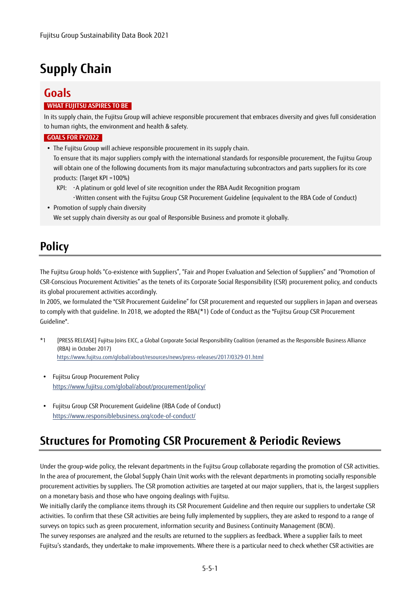# **Supply Chain**

# **Goals**

#### **WHAT FUJITSU ASPIRES TO BE**

In its supply chain, the Fujitsu Group will achieve responsible procurement that embraces diversity and gives full consideration to human rights, the environment and health & safety.

#### **GOALS FOR FY2022**

The Fujitsu Group will achieve responsible procurement in its supply chain.

To ensure that its major suppliers comply with the international standards for responsible procurement, the Fujitsu Group will obtain one of the following documents from its major manufacturing subcontractors and parts suppliers for its core products: (Target KPI =100%)

- KPI: ・A platinum or gold level of site recognition under the RBA Audit Recognition program
- ・Written consent with the Fujitsu Group CSR Procurement Guideline (equivalent to the RBA Code of Conduct) • Promotion of supply chain diversity

We set supply chain diversity as our goal of Responsible Business and promote it globally.

# **Policy**

The Fujitsu Group holds "Co-existence with Suppliers", "Fair and Proper Evaluation and Selection of Suppliers" and "Promotion of CSR-Conscious Procurement Activities" as the tenets of its Corporate Social Responsibility (CSR) procurement policy, and conducts its global procurement activities accordingly.

In 2005, we formulated the "CSR Procurement Guideline" for CSR procurement and requested our suppliers in Japan and overseas to comply with that guideline. In 2018, we adopted the RBA(\*1) Code of Conduct as the "Fujitsu Group CSR Procurement Guideline".

- \*1 [PRESS RELEASE] Fujitsu Joins EICC, a Global Corporate Social Responsibility Coalition (renamed as the Responsible Business Alliance (RBA) in October 2017) https://www.fujitsu.com/global/about/resources/news/press-releases/2017/0329-01.html
- Fujitsu Group Procurement Policy https://www.fujitsu.com/global/about/procurement/policy/
- Fujitsu Group CSR Procurement Guideline (RBA Code of Conduct) https://www.responsiblebusiness.org/code-of-conduct/

# **Structures for Promoting CSR Procurement & Periodic Reviews**

Under the group-wide policy, the relevant departments in the Fujitsu Group collaborate regarding the promotion of CSR activities. In the area of procurement, the Global Supply Chain Unit works with the relevant departments in promoting socially responsible procurement activities by suppliers. The CSR promotion activities are targeted at our major suppliers, that is, the largest suppliers on a monetary basis and those who have ongoing dealings with Fujitsu.

We initially clarify the compliance items through its CSR Procurement Guideline and then require our suppliers to undertake CSR activities. To confirm that these CSR activities are being fully implemented by suppliers, they are asked to respond to a range of surveys on topics such as green procurement, information security and Business Continuity Management (BCM).

The survey responses are analyzed and the results are returned to the suppliers as feedback. Where a supplier fails to meet Fujitsu's standards, they undertake to make improvements. Where there is a particular need to check whether CSR activities are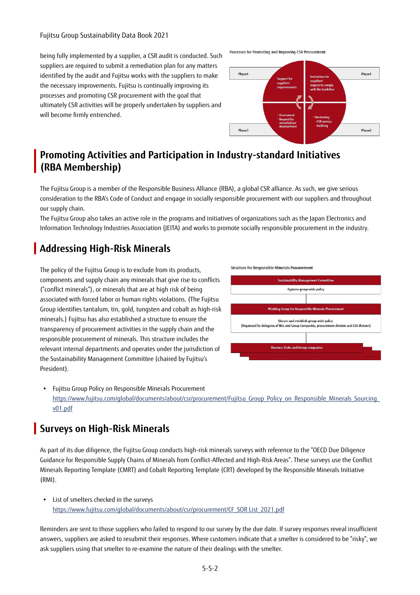#### Fujitsu Group Sustainability Data Book 2021

being fully implemented by a supplier, a CSR audit is conducted. Such suppliers are required to submit a remediation plan for any matters identified by the audit and Fujitsu works with the suppliers to make the necessary improvements. Fujitsu is continually improving its processes and promoting CSR procurement with the goal that ultimately CSR activities will be properly undertaken by suppliers and will become firmly entrenched.

Processes for Promoting and Improving CSR Procurement



### **Promoting Activities and Participation in Industry-standard Initiatives (RBA Membership)**

The Fujitsu Group is a member of the Responsible Business Alliance (RBA), a global CSR alliance. As such, we give serious consideration to the RBA's Code of Conduct and engage in socially responsible procurement with our suppliers and throughout our supply chain.

The Fujitsu Group also takes an active role in the programs and initiatives of organizations such as the Japan Electronics and Information Technology Industries Association (JEITA) and works to promote socially responsible procurement in the industry.

## **Addressing High-Risk Minerals**

The policy of the Fujitsu Group is to exclude from its products, components and supply chain any minerals that give rise to conflicts ("conflict minerals"), or minerals that are at high risk of being associated with forced labor or human rights violations. (The Fujitsu Group identifies tantalum, tin, gold, tungsten and cobalt as high-risk minerals.) Fujitsu has also established a structure to ensure the transparency of procurement activities in the supply chain and the responsible procurement of minerals. This structure includes the relevant internal departments and operates under the jurisdiction of the Sustainability Management Committee (chaired by Fujitsu's President).



**Structure for Responsible Minerals Procurement** 

 Fujitsu Group Policy on Responsible Minerals Procurement [https://www.fujitsu.com/global/documents/about/csr/procurement/Fujitsu\\_Group\\_Policy\\_on\\_Responsible\\_Minerals\\_Sourcing\\_](https://www.fujitsu.com/global/documents/about/csr/procurement/Fujitsu_Group_Policy_on_Responsible_Minerals_Sourcing_v01.pdf) v01.pdf

### **Surveys on High-Risk Minerals**

As part of its due diligence, the Fujitsu Group conducts high-risk minerals surveys with reference to the "OECD Due Diligence Guidance for Responsible Supply Chains of Minerals from Conflict-Affected and High-Risk Areas". These surveys use the Conflict Minerals Reporting Template (CMRT) and Cobalt Reporting Template (CRT) developed by the Responsible Minerals Initiative (RMI).

 List of smelters checked in the surveys [https://www.fujitsu.com/global/documents/about/csr/procurement/CF\\_SOR List\\_2021.pdf](https://www.fujitsu.com/global/documents/about/csr/procurement/CF_SOR List_2021.pdf) 

Reminders are sent to those suppliers who failed to respond to our survey by the due date. If survey responses reveal insufficient answers, suppliers are asked to resubmit their responses. Where customers indicate that a smelter is considered to be "risky", we ask suppliers using that smelter to re-examine the nature of their dealings with the smelter.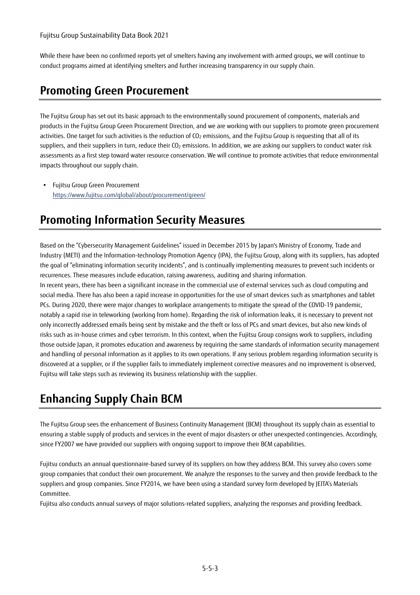While there have been no confirmed reports yet of smelters having any involvement with armed groups, we will continue to conduct programs aimed at identifying smelters and further increasing transparency in our supply chain.

# **Promoting Green Procurement**

The Fujitsu Group has set out its basic approach to the environmentally sound procurement of components, materials and products in the Fujitsu Group Green Procurement Direction, and we are working with our suppliers to promote green procurement activities. One target for such activities is the reduction of  $CO<sub>2</sub>$  emissions, and the Fujitsu Group is requesting that all of its suppliers, and their suppliers in turn, reduce their  $CO<sub>2</sub>$  emissions. In addition, we are asking our suppliers to conduct water risk assessments as a first step toward water resource conservation. We will continue to promote activities that reduce environmental impacts throughout our supply chain.

 Fujitsu Group Green Procurement https://www.fujitsu.com/global/about/procurement/green/

# **Promoting Information Security Measures**

Based on the "Cybersecurity Management Guidelines" issued in December 2015 by Japan's Ministry of Economy, Trade and Industry (METI) and the Information-technology Promotion Agency (IPA), the Fujitsu Group, along with its suppliers, has adopted the goal of "eliminating information security incidents", and is continually implementing measures to prevent such incidents or recurrences. These measures include education, raising awareness, auditing and sharing information.

In recent years, there has been a significant increase in the commercial use of external services such as cloud computing and social media. There has also been a rapid increase in opportunities for the use of smart devices such as smartphones and tablet PCs. During 2020, there were major changes to workplace arrangements to mitigate the spread of the COVID-19 pandemic, notably a rapid rise in teleworking (working from home). Regarding the risk of information leaks, it is necessary to prevent not only incorrectly addressed emails being sent by mistake and the theft or loss of PCs and smart devices, but also new kinds of risks such as in-house crimes and cyber terrorism. In this context, when the Fujitsu Group consigns work to suppliers, including those outside Japan, it promotes education and awareness by requiring the same standards of information security management and handling of personal information as it applies to its own operations. If any serious problem regarding information security is discovered at a supplier, or if the supplier fails to immediately implement corrective measures and no improvement is observed, Fujitsu will take steps such as reviewing its business relationship with the supplier.

# **Enhancing Supply Chain BCM**

The Fujitsu Group sees the enhancement of Business Continuity Management (BCM) throughout its supply chain as essential to ensuring a stable supply of products and services in the event of major disasters or other unexpected contingencies. Accordingly, since FY2007 we have provided our suppliers with ongoing support to improve their BCM capabilities.

Fujitsu conducts an annual questionnaire-based survey of its suppliers on how they address BCM. This survey also covers some group companies that conduct their own procurement. We analyze the responses to the survey and then provide feedback to the suppliers and group companies. Since FY2014, we have been using a standard survey form developed by JEITA's Materials Committee.

Fujitsu also conducts annual surveys of major solutions-related suppliers, analyzing the responses and providing feedback.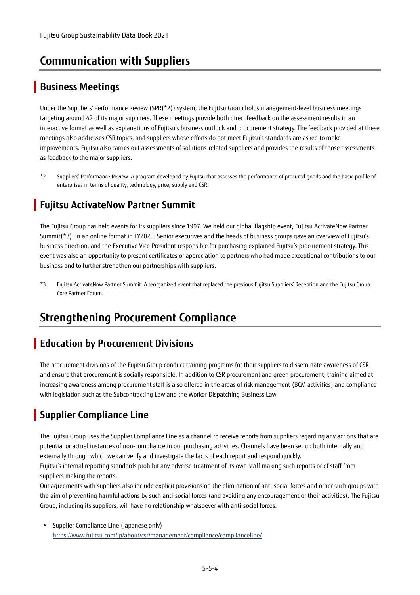# **Communication with Suppliers**

## **Business Meetings**

Under the Suppliers' Performance Review (SPR(\*2)) system, the Fujitsu Group holds management-level business meetings targeting around 42 of its major suppliers. These meetings provide both direct feedback on the assessment results in an interactive format as well as explanations of Fujitsu's business outlook and procurement strategy. The feedback provided at these meetings also addresses CSR topics, and suppliers whose efforts do not meet Fujitsu's standards are asked to make improvements. Fujitsu also carries out assessments of solutions-related suppliers and provides the results of those assessments as feedback to the major suppliers.

\*2 Suppliers' Performance Review: A program developed by Fujitsu that assesses the performance of procured goods and the basic profile of enterprises in terms of quality, technology, price, supply and CSR.

## **Fujitsu ActivateNow Partner Summit**

The Fujitsu Group has held events for its suppliers since 1997. We held our global flagship event, Fujitsu ActivateNow Partner Summit(\*3), in an online format in FY2020. Senior executives and the heads of business groups gave an overview of Fujitsu's business direction, and the Executive Vice President responsible for purchasing explained Fujitsu's procurement strategy. This event was also an opportunity to present certificates of appreciation to partners who had made exceptional contributions to our business and to further strengthen our partnerships with suppliers.

\*3 Fujitsu ActivateNow Partner Summit: A reorganized event that replaced the previous Fujitsu Suppliers' Reception and the Fujitsu Group Core Partner Forum.

# **Strengthening Procurement Compliance**

### **Education by Procurement Divisions**

The procurement divisions of the Fujitsu Group conduct training programs for their suppliers to disseminate awareness of CSR and ensure that procurement is socially responsible. In addition to CSR procurement and green procurement, training aimed at increasing awareness among procurement staff is also offered in the areas of risk management (BCM activities) and compliance with legislation such as the Subcontracting Law and the Worker Dispatching Business Law.

## **Supplier Compliance Line**

The Fujitsu Group uses the Supplier Compliance Line as a channel to receive reports from suppliers regarding any actions that are potential or actual instances of non-compliance in our purchasing activities. Channels have been set up both internally and externally through which we can verify and investigate the facts of each report and respond quickly.

Fujitsu's internal reporting standards prohibit any adverse treatment of its own staff making such reports or of staff from suppliers making the reports.

Our agreements with suppliers also include explicit provisions on the elimination of anti-social forces and other such groups with the aim of preventing harmful actions by such anti-social forces (and avoiding any encouragement of their activities). The Fujitsu Group, including its suppliers, will have no relationship whatsoever with anti-social forces.

 Supplier Compliance Line (Japanese only) https://www.fujitsu.com/jp/about/csr/management/compliance/complianceline/